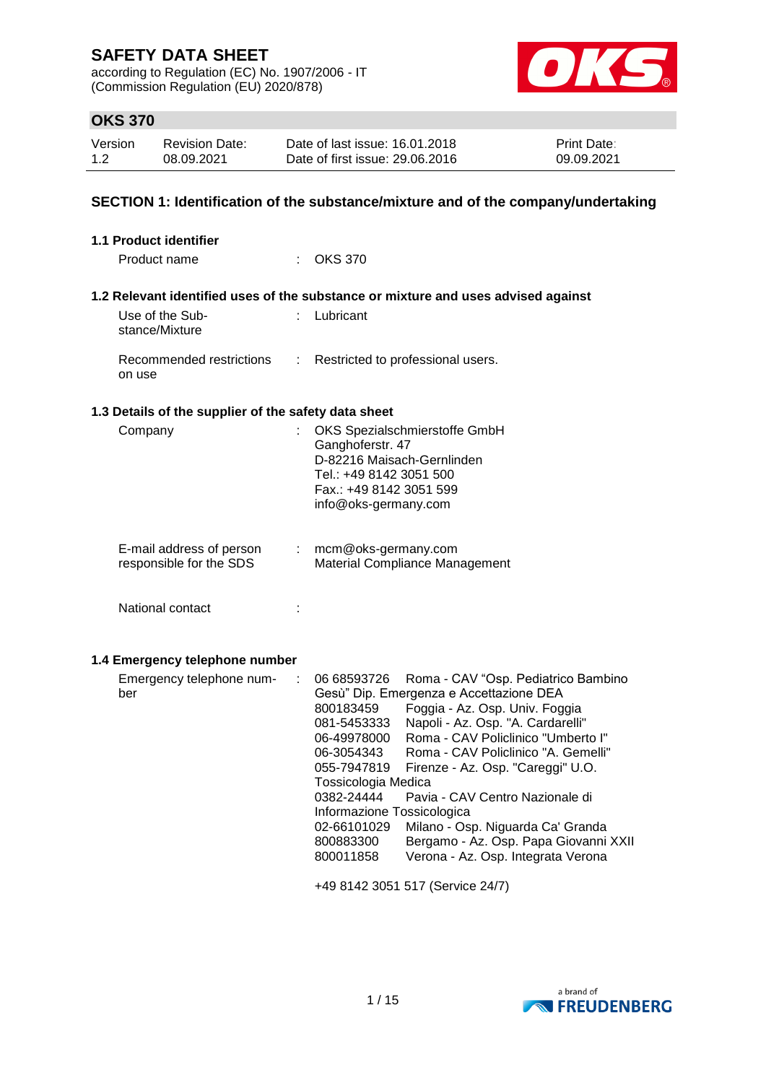according to Regulation (EC) No. 1907/2006 - IT (Commission Regulation (EU) 2020/878)



## **OKS 370**

| Version | <b>Revision Date:</b> | Date of last issue: 16.01.2018  | <b>Print Date:</b> |
|---------|-----------------------|---------------------------------|--------------------|
| 1.2     | 08.09.2021            | Date of first issue: 29,06,2016 | 09.09.2021         |

## **SECTION 1: Identification of the substance/mixture and of the company/undertaking**

| 1.1 Product identifier                               |                                                                                                                                                                                                                                                                                                                                                                                                                                                                                                                                                                                                                                   |
|------------------------------------------------------|-----------------------------------------------------------------------------------------------------------------------------------------------------------------------------------------------------------------------------------------------------------------------------------------------------------------------------------------------------------------------------------------------------------------------------------------------------------------------------------------------------------------------------------------------------------------------------------------------------------------------------------|
| Product name                                         | : OKS 370                                                                                                                                                                                                                                                                                                                                                                                                                                                                                                                                                                                                                         |
|                                                      | 1.2 Relevant identified uses of the substance or mixture and uses advised against                                                                                                                                                                                                                                                                                                                                                                                                                                                                                                                                                 |
| Use of the Sub-<br>stance/Mixture                    | : Lubricant                                                                                                                                                                                                                                                                                                                                                                                                                                                                                                                                                                                                                       |
| Recommended restrictions<br>÷<br>on use              | Restricted to professional users.                                                                                                                                                                                                                                                                                                                                                                                                                                                                                                                                                                                                 |
| 1.3 Details of the supplier of the safety data sheet |                                                                                                                                                                                                                                                                                                                                                                                                                                                                                                                                                                                                                                   |
| Company<br>÷                                         | OKS Spezialschmierstoffe GmbH<br>Ganghoferstr. 47<br>D-82216 Maisach-Gernlinden<br>Tel.: +49 8142 3051 500<br>Fax.: +49 8142 3051 599<br>info@oks-germany.com                                                                                                                                                                                                                                                                                                                                                                                                                                                                     |
| E-mail address of person<br>responsible for the SDS  | mcm@oks-germany.com<br>Material Compliance Management                                                                                                                                                                                                                                                                                                                                                                                                                                                                                                                                                                             |
| National contact<br>÷                                |                                                                                                                                                                                                                                                                                                                                                                                                                                                                                                                                                                                                                                   |
| 1.4 Emergency telephone number                       |                                                                                                                                                                                                                                                                                                                                                                                                                                                                                                                                                                                                                                   |
| Emergency telephone num-<br>÷<br>ber                 | 06 68593726<br>Roma - CAV "Osp. Pediatrico Bambino<br>Gesù" Dip. Emergenza e Accettazione DEA<br>800183459<br>Foggia - Az. Osp. Univ. Foggia<br>Napoli - Az. Osp. "A. Cardarelli"<br>081-5453333<br>Roma - CAV Policlinico "Umberto I"<br>06-49978000<br>Roma - CAV Policlinico "A. Gemelli"<br>06-3054343<br>055-7947819<br>Firenze - Az. Osp. "Careggi" U.O.<br>Tossicologia Medica<br>0382-24444<br>Pavia - CAV Centro Nazionale di<br>Informazione Tossicologica<br>02-66101029<br>Milano - Osp. Niguarda Ca' Granda<br>Bergamo - Az. Osp. Papa Giovanni XXII<br>800883300<br>Verona - Az. Osp. Integrata Verona<br>800011858 |
|                                                      | +49 8142 3051 517 (Service 24/7)                                                                                                                                                                                                                                                                                                                                                                                                                                                                                                                                                                                                  |

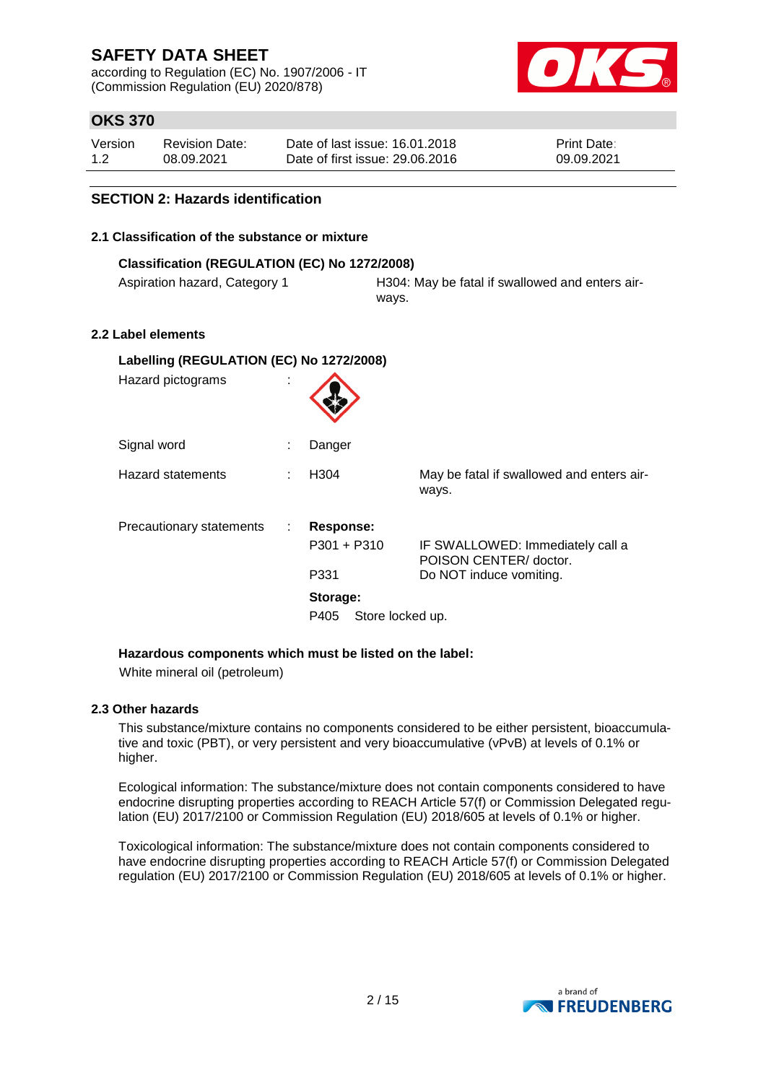according to Regulation (EC) No. 1907/2006 - IT (Commission Regulation (EU) 2020/878)



## **OKS 370**

| Version | Revision Date: | Date of last issue: 16.01.2018  | <b>Print Date:</b> |
|---------|----------------|---------------------------------|--------------------|
| 1.2     | 08.09.2021     | Date of first issue: 29.06.2016 | 09.09.2021         |

### **SECTION 2: Hazards identification**

### **2.1 Classification of the substance or mixture**

| Classification (REGULATION (EC) No 1272/2008) |                                                          |  |  |
|-----------------------------------------------|----------------------------------------------------------|--|--|
| Aspiration hazard, Category 1                 | H304: May be fatal if swallowed and enters air-<br>wavs. |  |  |

### **2.2 Label elements**

| Labelling (REGULATION (EC) No 1272/2008) |   |                          |                                                            |  |  |
|------------------------------------------|---|--------------------------|------------------------------------------------------------|--|--|
| Hazard pictograms                        | ÷ |                          |                                                            |  |  |
| Signal word                              |   | Danger                   |                                                            |  |  |
| <b>Hazard statements</b>                 | ÷ | H <sub>304</sub>         | May be fatal if swallowed and enters air-<br>ways.         |  |  |
| Precautionary statements                 | ÷ | <b>Response:</b>         |                                                            |  |  |
|                                          |   | P301 + P310              | IF SWALLOWED: Immediately call a<br>POISON CENTER/ doctor. |  |  |
|                                          |   | P331                     | Do NOT induce vomiting.                                    |  |  |
|                                          |   | Storage:                 |                                                            |  |  |
|                                          |   | Store locked up.<br>P405 |                                                            |  |  |

### **Hazardous components which must be listed on the label:**

White mineral oil (petroleum)

### **2.3 Other hazards**

This substance/mixture contains no components considered to be either persistent, bioaccumulative and toxic (PBT), or very persistent and very bioaccumulative (vPvB) at levels of 0.1% or higher.

Ecological information: The substance/mixture does not contain components considered to have endocrine disrupting properties according to REACH Article 57(f) or Commission Delegated regulation (EU) 2017/2100 or Commission Regulation (EU) 2018/605 at levels of 0.1% or higher.

Toxicological information: The substance/mixture does not contain components considered to have endocrine disrupting properties according to REACH Article 57(f) or Commission Delegated regulation (EU) 2017/2100 or Commission Regulation (EU) 2018/605 at levels of 0.1% or higher.

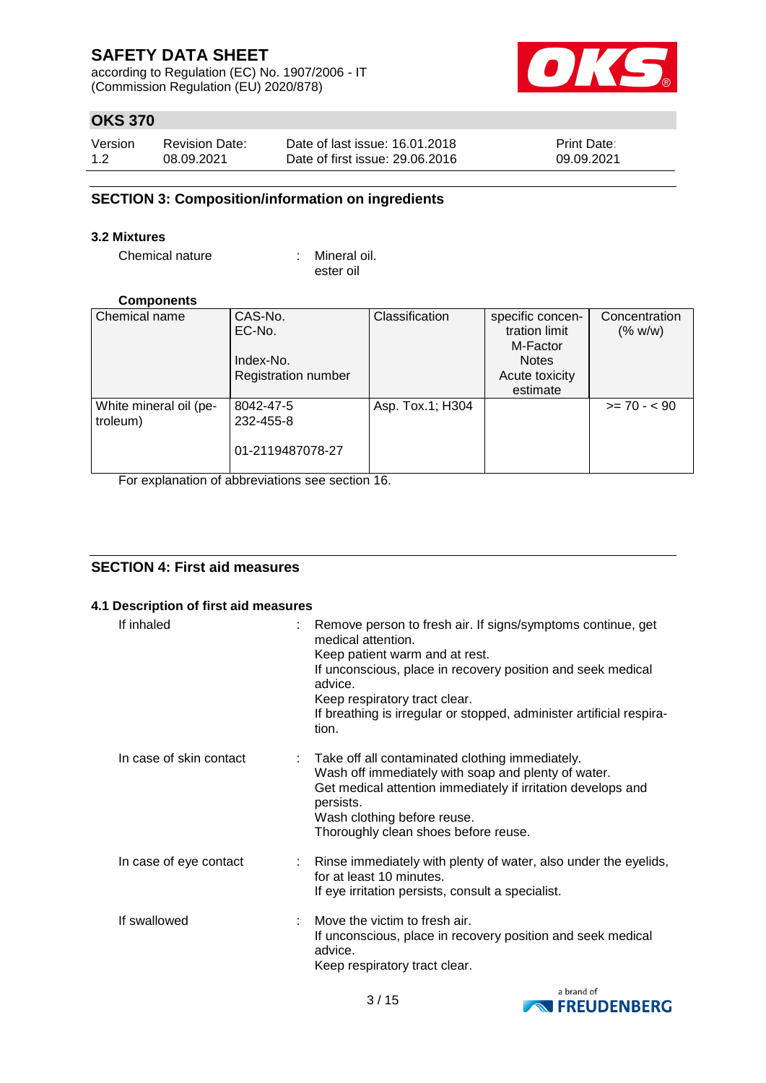according to Regulation (EC) No. 1907/2006 - IT (Commission Regulation (EU) 2020/878)



## **OKS 370**

| Version | <b>Revision Date:</b> | Date of last issue: 16.01.2018  | <b>Print Date:</b> |
|---------|-----------------------|---------------------------------|--------------------|
| 1.2     | 08.09.2021            | Date of first issue: 29.06.2016 | 09.09.2021         |

### **SECTION 3: Composition/information on ingredients**

### **3.2 Mixtures**

Chemical nature : Mineral oil.

ester oil

### **Components**

| Chemical name          | CAS-No.                    | Classification   | specific concen- | Concentration |
|------------------------|----------------------------|------------------|------------------|---------------|
|                        | EC-No.                     |                  | tration limit    | (% w/w)       |
|                        |                            |                  | M-Factor         |               |
|                        | Index-No.                  |                  | <b>Notes</b>     |               |
|                        | <b>Registration number</b> |                  | Acute toxicity   |               |
|                        |                            |                  | estimate         |               |
| White mineral oil (pe- | 8042-47-5                  | Asp. Tox.1; H304 |                  | $>= 70 - 590$ |
| troleum)               | 232-455-8                  |                  |                  |               |
|                        |                            |                  |                  |               |
|                        | 01-2119487078-27           |                  |                  |               |
|                        |                            |                  |                  |               |

For explanation of abbreviations see section 16.

## **SECTION 4: First aid measures**

### **4.1 Description of first aid measures**

| If inhaled              | Remove person to fresh air. If signs/symptoms continue, get<br>medical attention.<br>Keep patient warm and at rest.<br>If unconscious, place in recovery position and seek medical<br>advice.<br>Keep respiratory tract clear.<br>If breathing is irregular or stopped, administer artificial respira-<br>tion. |
|-------------------------|-----------------------------------------------------------------------------------------------------------------------------------------------------------------------------------------------------------------------------------------------------------------------------------------------------------------|
| In case of skin contact | Take off all contaminated clothing immediately.<br>Wash off immediately with soap and plenty of water.<br>Get medical attention immediately if irritation develops and<br>persists.<br>Wash clothing before reuse.<br>Thoroughly clean shoes before reuse.                                                      |
| In case of eye contact  | : Rinse immediately with plenty of water, also under the eyelids,<br>for at least 10 minutes.<br>If eye irritation persists, consult a specialist.                                                                                                                                                              |
| If swallowed            | Move the victim to fresh air.<br>If unconscious, place in recovery position and seek medical<br>advice.<br>Keep respiratory tract clear.                                                                                                                                                                        |

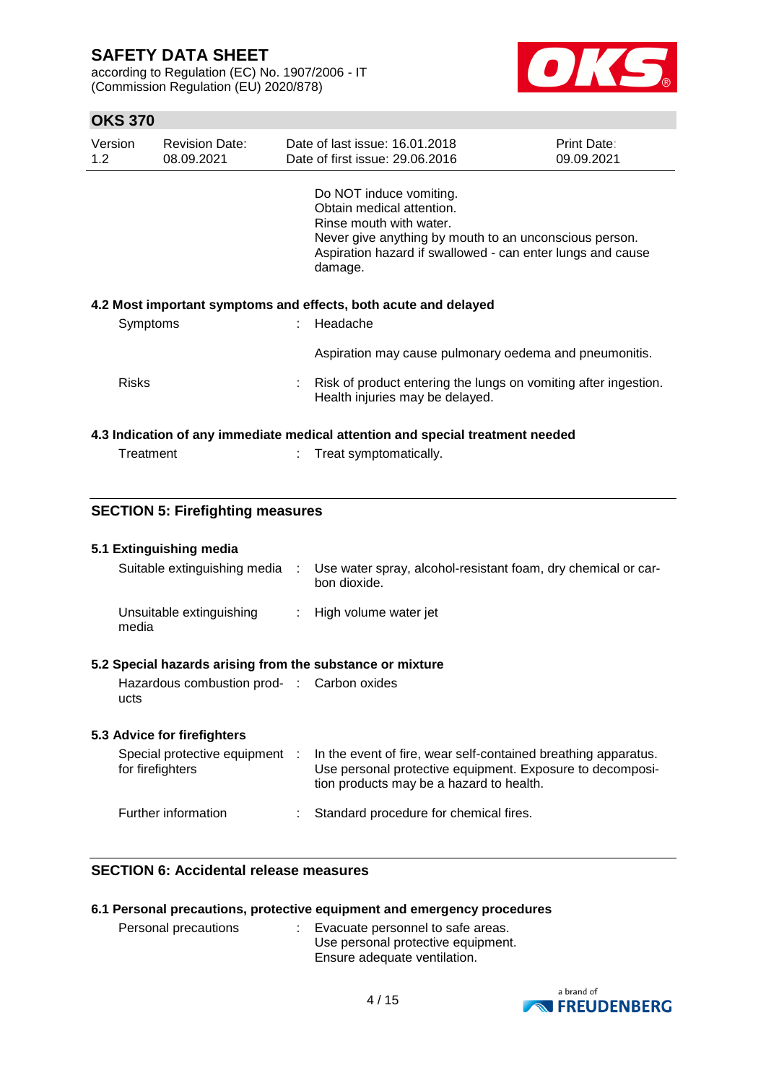according to Regulation (EC) No. 1907/2006 - IT (Commission Regulation (EU) 2020/878)



## **OKS 370**

| Version<br>$1.2^{\circ}$                                                       | <b>Revision Date:</b><br>08.09.2021 |  | Date of last issue: 16.01.2018<br>Date of first issue: 29,06,2016                                                                                                                                                  | Print Date:<br>09.09.2021 |  |
|--------------------------------------------------------------------------------|-------------------------------------|--|--------------------------------------------------------------------------------------------------------------------------------------------------------------------------------------------------------------------|---------------------------|--|
|                                                                                |                                     |  | Do NOT induce vomiting.<br>Obtain medical attention.<br>Rinse mouth with water.<br>Never give anything by mouth to an unconscious person.<br>Aspiration hazard if swallowed - can enter lungs and cause<br>damage. |                           |  |
|                                                                                |                                     |  | 4.2 Most important symptoms and effects, both acute and delayed                                                                                                                                                    |                           |  |
| Symptoms                                                                       |                                     |  | : Headache                                                                                                                                                                                                         |                           |  |
|                                                                                |                                     |  | Aspiration may cause pulmonary oedema and pneumonitis.                                                                                                                                                             |                           |  |
| <b>Risks</b>                                                                   |                                     |  | Risk of product entering the lungs on vomiting after ingestion.<br>Health injuries may be delayed.                                                                                                                 |                           |  |
| 4.3 Indication of any immediate medical attention and special treatment needed |                                     |  |                                                                                                                                                                                                                    |                           |  |
| Treatment                                                                      |                                     |  | Treat symptomatically.                                                                                                                                                                                             |                           |  |

### **SECTION 5: Firefighting measures**

| 5.1 Extinguishing media                                   |                                                                                                                                                                         |
|-----------------------------------------------------------|-------------------------------------------------------------------------------------------------------------------------------------------------------------------------|
| Suitable extinguishing media :                            | Use water spray, alcohol-resistant foam, dry chemical or car-<br>bon dioxide.                                                                                           |
| Unsuitable extinguishing<br>media                         | : High volume water jet                                                                                                                                                 |
| 5.2 Special hazards arising from the substance or mixture |                                                                                                                                                                         |
| Hazardous combustion prod- : Carbon oxides<br>ucts        |                                                                                                                                                                         |
| 5.3 Advice for firefighters                               |                                                                                                                                                                         |
| Special protective equipment :<br>for firefighters        | In the event of fire, wear self-contained breathing apparatus.<br>Use personal protective equipment. Exposure to decomposi-<br>tion products may be a hazard to health. |
| Further information                                       | Standard procedure for chemical fires.                                                                                                                                  |

## **SECTION 6: Accidental release measures**

|  |  | 6.1 Personal precautions, protective equipment and emergency procedures |  |  |  |  |  |
|--|--|-------------------------------------------------------------------------|--|--|--|--|--|
|--|--|-------------------------------------------------------------------------|--|--|--|--|--|

| Personal precautions | Evacuate personnel to safe areas.  |
|----------------------|------------------------------------|
|                      | Use personal protective equipment. |
|                      | Ensure adequate ventilation.       |

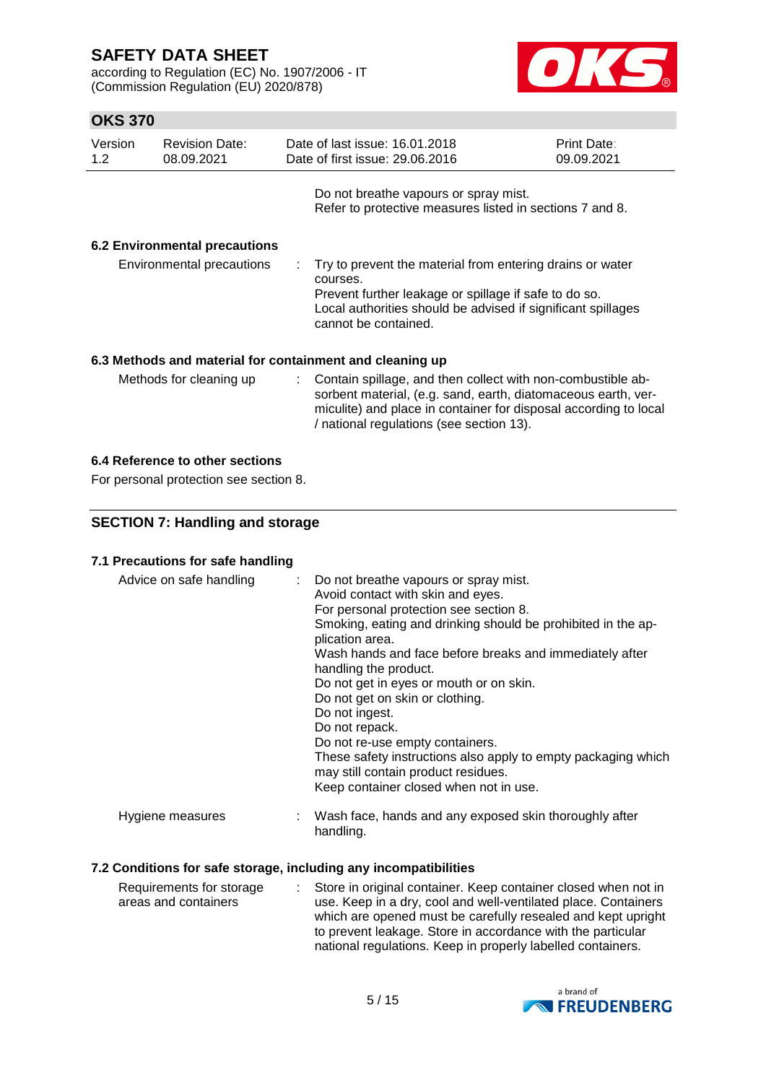according to Regulation (EC) No. 1907/2006 - IT (Commission Regulation (EU) 2020/878)



## **OKS 370**

| Version<br>1.2 |                                      | <b>Revision Date:</b><br>08.09.2021 |  | Date of last issue: 16.01.2018<br>Date of first issue: 29.06.2016                                                                                                                                                                            | <b>Print Date:</b><br>09.09.2021 |  |  |  |
|----------------|--------------------------------------|-------------------------------------|--|----------------------------------------------------------------------------------------------------------------------------------------------------------------------------------------------------------------------------------------------|----------------------------------|--|--|--|
|                |                                      |                                     |  | Do not breathe vapours or spray mist.<br>Refer to protective measures listed in sections 7 and 8.                                                                                                                                            |                                  |  |  |  |
|                | <b>6.2 Environmental precautions</b> |                                     |  |                                                                                                                                                                                                                                              |                                  |  |  |  |
|                |                                      | Environmental precautions           |  | Try to prevent the material from entering drains or water<br>courses.<br>Prevent further leakage or spillage if safe to do so.<br>Local authorities should be advised if significant spillages<br>cannot be contained.                       |                                  |  |  |  |
|                |                                      |                                     |  | 6.3 Methods and material for containment and cleaning up                                                                                                                                                                                     |                                  |  |  |  |
|                |                                      | Methods for cleaning up             |  | Contain spillage, and then collect with non-combustible ab-<br>sorbent material, (e.g. sand, earth, diatomaceous earth, ver-<br>miculite) and place in container for disposal according to local<br>/ national regulations (see section 13). |                                  |  |  |  |

### **6.4 Reference to other sections**

For personal protection see section 8.

## **SECTION 7: Handling and storage**

### **7.1 Precautions for safe handling**

| Advice on safe handling | : Do not breathe vapours or spray mist.<br>Avoid contact with skin and eyes.<br>For personal protection see section 8.<br>Smoking, eating and drinking should be prohibited in the ap-<br>plication area.<br>Wash hands and face before breaks and immediately after<br>handling the product.<br>Do not get in eyes or mouth or on skin.<br>Do not get on skin or clothing.<br>Do not ingest.<br>Do not repack.<br>Do not re-use empty containers.<br>These safety instructions also apply to empty packaging which<br>may still contain product residues.<br>Keep container closed when not in use. |
|-------------------------|------------------------------------------------------------------------------------------------------------------------------------------------------------------------------------------------------------------------------------------------------------------------------------------------------------------------------------------------------------------------------------------------------------------------------------------------------------------------------------------------------------------------------------------------------------------------------------------------------|
| Hygiene measures        | Wash face, hands and any exposed skin thoroughly after<br>handling.                                                                                                                                                                                                                                                                                                                                                                                                                                                                                                                                  |

### **7.2 Conditions for safe storage, including any incompatibilities**

| Requirements for storage | : Store in original container. Keep container closed when not in |
|--------------------------|------------------------------------------------------------------|
| areas and containers     | use. Keep in a dry, cool and well-ventilated place. Containers   |
|                          | which are opened must be carefully resealed and kept upright     |
|                          | to prevent leakage. Store in accordance with the particular      |
|                          | national regulations. Keep in properly labelled containers.      |

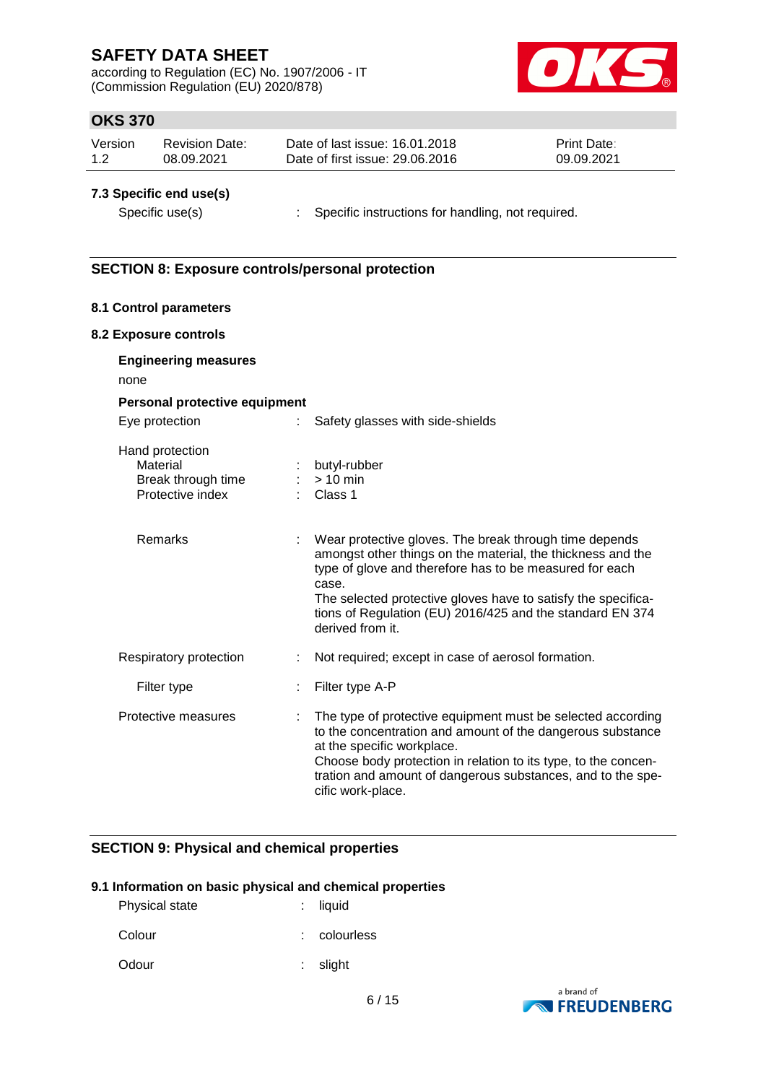according to Regulation (EC) No. 1907/2006 - IT (Commission Regulation (EU) 2020/878)



## **OKS 370**

| Version | Revision Date: | Date of last issue: 16.01.2018  | <b>Print Date:</b> |
|---------|----------------|---------------------------------|--------------------|
| 1.2     | 08.09.2021     | Date of first issue: 29,06,2016 | 09.09.2021         |

### **7.3 Specific end use(s)**

Specific use(s) : Specific instructions for handling, not required.

### **SECTION 8: Exposure controls/personal protection**

### **8.1 Control parameters**

### **8.2 Exposure controls**

| <b>Engineering measures</b><br>none<br>Personal protective equipment  |    |                                                                                                                                                                                                                                                                                                                                             |
|-----------------------------------------------------------------------|----|---------------------------------------------------------------------------------------------------------------------------------------------------------------------------------------------------------------------------------------------------------------------------------------------------------------------------------------------|
| Eye protection                                                        | t. | Safety glasses with side-shields                                                                                                                                                                                                                                                                                                            |
| Hand protection<br>Material<br>Break through time<br>Protective index |    | butyl-rubber<br>$> 10$ min<br>Class 1                                                                                                                                                                                                                                                                                                       |
| <b>Remarks</b>                                                        |    | Wear protective gloves. The break through time depends<br>amongst other things on the material, the thickness and the<br>type of glove and therefore has to be measured for each<br>case.<br>The selected protective gloves have to satisfy the specifica-<br>tions of Regulation (EU) 2016/425 and the standard EN 374<br>derived from it. |
| Respiratory protection                                                |    | Not required; except in case of aerosol formation.                                                                                                                                                                                                                                                                                          |
| Filter type                                                           |    | Filter type A-P                                                                                                                                                                                                                                                                                                                             |
| Protective measures                                                   | ÷. | The type of protective equipment must be selected according<br>to the concentration and amount of the dangerous substance<br>at the specific workplace.<br>Choose body protection in relation to its type, to the concen-<br>tration and amount of dangerous substances, and to the spe-<br>cific work-place.                               |

### **SECTION 9: Physical and chemical properties**

### **9.1 Information on basic physical and chemical properties**

| <b>Physical state</b> | : liquid     |
|-----------------------|--------------|
| Colour                | : colourless |

Odour : slight

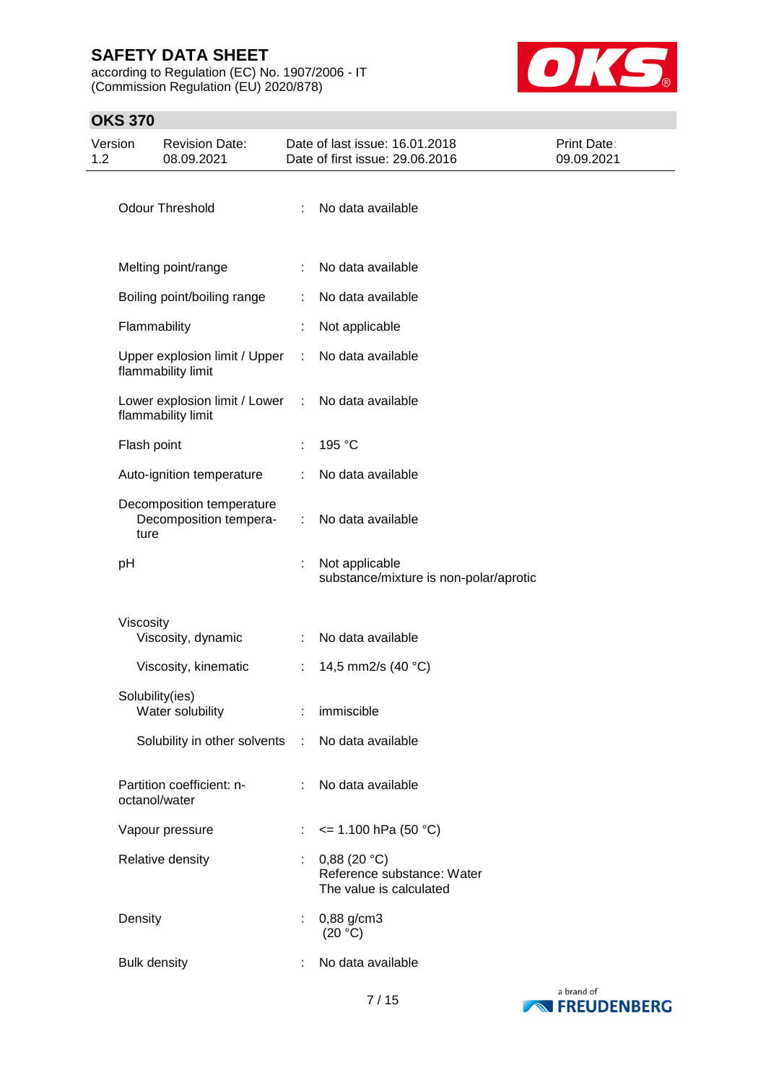according to Regulation (EC) No. 1907/2006 - IT (Commission Regulation (EU) 2020/878)



## **OKS 370**

| Version<br>1.2 |                     | <b>Revision Date:</b><br>08.09.2021                 |   | Date of last issue: 16.01.2018<br>Date of first issue: 29.06.2016    | Print Date:<br>09.09.2021 |
|----------------|---------------------|-----------------------------------------------------|---|----------------------------------------------------------------------|---------------------------|
|                |                     | <b>Odour Threshold</b>                              | ÷ | No data available                                                    |                           |
|                |                     | Melting point/range                                 | ÷ | No data available                                                    |                           |
|                |                     | Boiling point/boiling range                         | ÷ | No data available                                                    |                           |
|                | Flammability        |                                                     |   | Not applicable                                                       |                           |
|                |                     | Upper explosion limit / Upper<br>flammability limit |   | No data available                                                    |                           |
|                |                     | Lower explosion limit / Lower<br>flammability limit | ÷ | No data available                                                    |                           |
|                | Flash point         |                                                     | ÷ | 195 °C                                                               |                           |
|                |                     | Auto-ignition temperature                           | ÷ | No data available                                                    |                           |
|                | ture                | Decomposition temperature<br>Decomposition tempera- | ÷ | No data available                                                    |                           |
|                | pH                  |                                                     |   | Not applicable<br>substance/mixture is non-polar/aprotic             |                           |
|                | Viscosity           | Viscosity, dynamic                                  | ÷ | No data available                                                    |                           |
|                |                     | Viscosity, kinematic                                | ÷ | 14,5 mm2/s (40 °C)                                                   |                           |
|                | Solubility(ies)     | Water solubility                                    |   | immiscible                                                           |                           |
|                |                     | Solubility in other solvents :                      |   | No data available                                                    |                           |
|                | octanol/water       | Partition coefficient: n-                           | ÷ | No data available                                                    |                           |
|                |                     | Vapour pressure                                     | ÷ | $\le$ 1.100 hPa (50 °C)                                              |                           |
|                |                     | Relative density                                    |   | 0,88(20 °C)<br>Reference substance: Water<br>The value is calculated |                           |
|                | Density             |                                                     | ÷ | 0,88 g/cm3<br>(20 °C)                                                |                           |
|                | <b>Bulk density</b> |                                                     |   | No data available                                                    |                           |

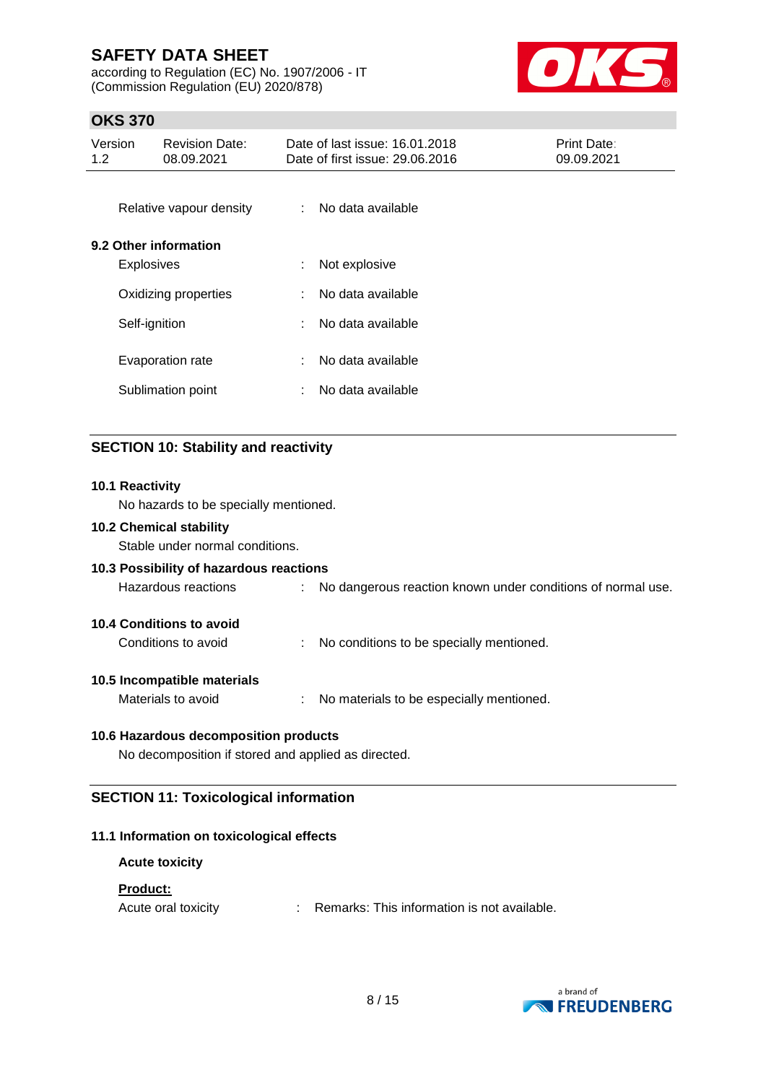according to Regulation (EC) No. 1907/2006 - IT (Commission Regulation (EU) 2020/878)



## **OKS 370**

| Version<br><b>Revision Date:</b><br>1.2 <sub>2</sub><br>08.09.2021 |                                            |                                       | Date of last issue: 16.01.2018<br>Print Date:<br>Date of first issue: 29.06.2016<br>09.09.2021 |                                        |  |  |
|--------------------------------------------------------------------|--------------------------------------------|---------------------------------------|------------------------------------------------------------------------------------------------|----------------------------------------|--|--|
|                                                                    |                                            | Relative vapour density               | $\mathbb{R}^n$                                                                                 | No data available                      |  |  |
|                                                                    | 9.2 Other information<br><b>Explosives</b> |                                       | ÷                                                                                              | Not explosive                          |  |  |
|                                                                    |                                            | Oxidizing properties                  |                                                                                                | No data available                      |  |  |
|                                                                    | Self-ignition                              |                                       | ÷                                                                                              | No data available                      |  |  |
|                                                                    |                                            | Evaporation rate<br>Sublimation point | ÷                                                                                              | No data available<br>No data available |  |  |
|                                                                    |                                            |                                       |                                                                                                |                                        |  |  |

# **SECTION 10: Stability and reactivity**

| 10.1 Reactivity                                     |                                                               |  |  |  |  |  |  |  |
|-----------------------------------------------------|---------------------------------------------------------------|--|--|--|--|--|--|--|
|                                                     | No hazards to be specially mentioned.                         |  |  |  |  |  |  |  |
| <b>10.2 Chemical stability</b>                      |                                                               |  |  |  |  |  |  |  |
| Stable under normal conditions.                     |                                                               |  |  |  |  |  |  |  |
| 10.3 Possibility of hazardous reactions             |                                                               |  |  |  |  |  |  |  |
| Hazardous reactions                                 | : No dangerous reaction known under conditions of normal use. |  |  |  |  |  |  |  |
| 10.4 Conditions to avoid                            |                                                               |  |  |  |  |  |  |  |
| Conditions to avoid                                 | No conditions to be specially mentioned.                      |  |  |  |  |  |  |  |
| 10.5 Incompatible materials                         |                                                               |  |  |  |  |  |  |  |
| Materials to avoid                                  | : No materials to be especially mentioned.                    |  |  |  |  |  |  |  |
| 10.6 Hazardous decomposition products               |                                                               |  |  |  |  |  |  |  |
| No decomposition if stored and applied as directed. |                                                               |  |  |  |  |  |  |  |
| <b>SECTION 11: Toxicological information</b>        |                                                               |  |  |  |  |  |  |  |

## **11.1 Information on toxicological effects**

| <b>Acute toxicity</b> |                                               |
|-----------------------|-----------------------------------------------|
| <b>Product:</b>       |                                               |
| Acute oral toxicity   | : Remarks: This information is not available. |

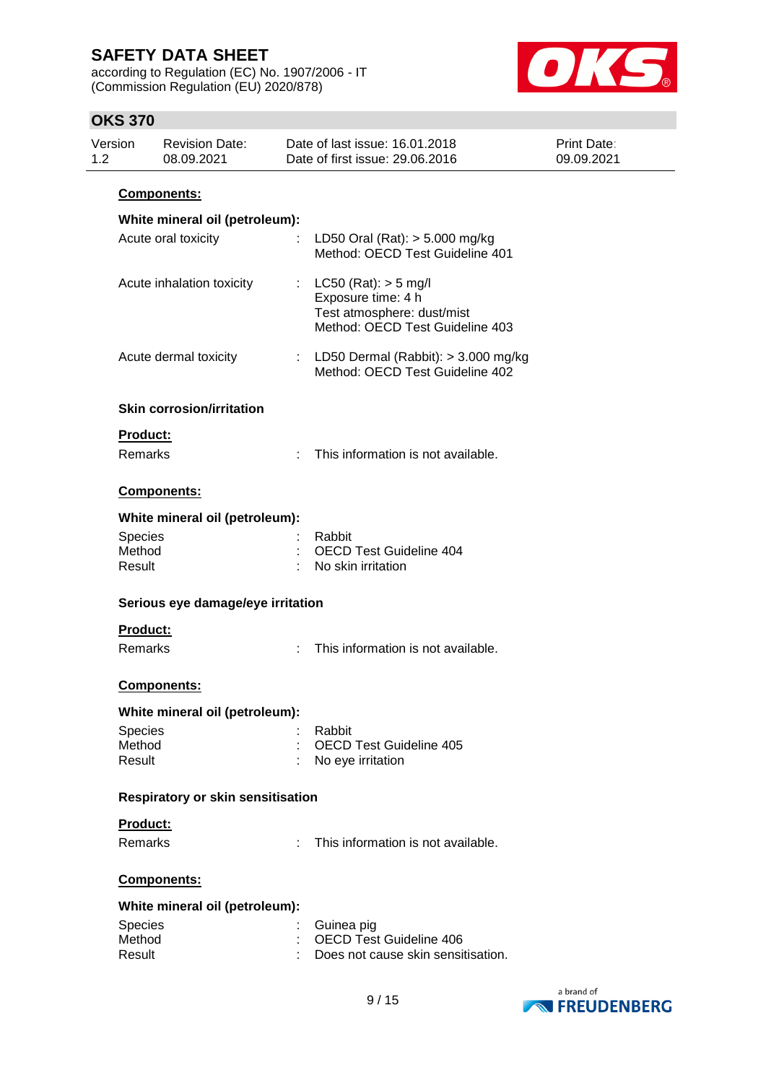according to Regulation (EC) No. 1907/2006 - IT (Commission Regulation (EU) 2020/878)



## **OKS 370**

| Version<br>1.2 |                                                          | <b>Revision Date:</b><br>08.09.2021 |    | Date of last issue: 16.01.2018<br>Date of first issue: 29.06.2016                                               | Print Date:<br>09.09.2021 |  |  |  |  |  |  |  |
|----------------|----------------------------------------------------------|-------------------------------------|----|-----------------------------------------------------------------------------------------------------------------|---------------------------|--|--|--|--|--|--|--|
|                | Components:                                              |                                     |    |                                                                                                                 |                           |  |  |  |  |  |  |  |
|                |                                                          | White mineral oil (petroleum):      |    |                                                                                                                 |                           |  |  |  |  |  |  |  |
|                |                                                          | Acute oral toxicity                 |    | LD50 Oral (Rat): $> 5.000$ mg/kg<br>Method: OECD Test Guideline 401                                             |                           |  |  |  |  |  |  |  |
|                | Acute inhalation toxicity                                |                                     | t. | $LC50$ (Rat): $> 5$ mg/l<br>Exposure time: 4 h<br>Test atmosphere: dust/mist<br>Method: OECD Test Guideline 403 |                           |  |  |  |  |  |  |  |
|                |                                                          | Acute dermal toxicity               |    | : LD50 Dermal (Rabbit): $>$ 3.000 mg/kg<br>Method: OECD Test Guideline 402                                      |                           |  |  |  |  |  |  |  |
|                |                                                          | <b>Skin corrosion/irritation</b>    |    |                                                                                                                 |                           |  |  |  |  |  |  |  |
|                | Product:                                                 |                                     |    |                                                                                                                 |                           |  |  |  |  |  |  |  |
|                | Remarks                                                  |                                     |    | This information is not available.                                                                              |                           |  |  |  |  |  |  |  |
|                |                                                          | Components:                         |    |                                                                                                                 |                           |  |  |  |  |  |  |  |
|                |                                                          | White mineral oil (petroleum):      |    |                                                                                                                 |                           |  |  |  |  |  |  |  |
|                | Species<br>Method                                        |                                     |    | Rabbit<br><b>OECD Test Guideline 404</b>                                                                        |                           |  |  |  |  |  |  |  |
|                | Result                                                   |                                     |    | No skin irritation                                                                                              |                           |  |  |  |  |  |  |  |
|                | Serious eye damage/eye irritation<br>Product:<br>Remarks |                                     |    | This information is not available.                                                                              |                           |  |  |  |  |  |  |  |
|                |                                                          | <b>Components:</b>                  |    |                                                                                                                 |                           |  |  |  |  |  |  |  |
|                |                                                          | White mineral oil (petroleum):      |    |                                                                                                                 |                           |  |  |  |  |  |  |  |
|                | <b>Species</b><br>Method                                 |                                     |    | Rabbit<br><b>OECD Test Guideline 405</b>                                                                        |                           |  |  |  |  |  |  |  |
|                | Result                                                   |                                     |    | No eye irritation                                                                                               |                           |  |  |  |  |  |  |  |
|                | <b>Respiratory or skin sensitisation</b>                 |                                     |    |                                                                                                                 |                           |  |  |  |  |  |  |  |
|                | Product:                                                 |                                     |    |                                                                                                                 |                           |  |  |  |  |  |  |  |
|                | Remarks                                                  |                                     |    | This information is not available.                                                                              |                           |  |  |  |  |  |  |  |
|                | Components:                                              |                                     |    |                                                                                                                 |                           |  |  |  |  |  |  |  |
|                |                                                          | White mineral oil (petroleum):      |    |                                                                                                                 |                           |  |  |  |  |  |  |  |
|                | Species                                                  |                                     |    | Guinea pig                                                                                                      |                           |  |  |  |  |  |  |  |
|                | Method<br>Result                                         |                                     |    | <b>OECD Test Guideline 406</b><br>Does not cause skin sensitisation.                                            |                           |  |  |  |  |  |  |  |
|                |                                                          |                                     |    |                                                                                                                 |                           |  |  |  |  |  |  |  |

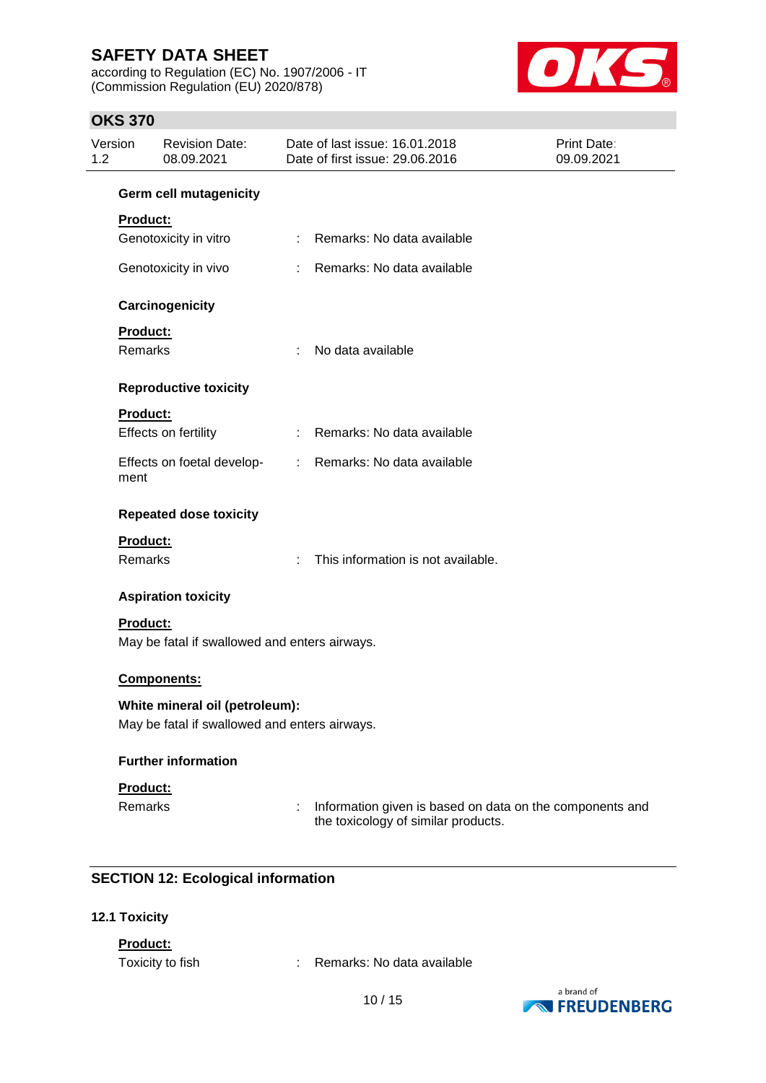according to Regulation (EC) No. 1907/2006 - IT (Commission Regulation (EU) 2020/878)



## **OKS 370**

| Version<br>1.2                                |                 | <b>Revision Date:</b><br>08.09.2021           |   | Date of last issue: 16.01.2018<br>Date of first issue: 29.06.2016                               | <b>Print Date:</b><br>09.09.2021 |  |  |  |  |
|-----------------------------------------------|-----------------|-----------------------------------------------|---|-------------------------------------------------------------------------------------------------|----------------------------------|--|--|--|--|
|                                               |                 | <b>Germ cell mutagenicity</b>                 |   |                                                                                                 |                                  |  |  |  |  |
|                                               | Product:        |                                               |   |                                                                                                 |                                  |  |  |  |  |
|                                               |                 | Genotoxicity in vitro                         |   | Remarks: No data available                                                                      |                                  |  |  |  |  |
|                                               |                 | Genotoxicity in vivo                          |   | : Remarks: No data available                                                                    |                                  |  |  |  |  |
|                                               |                 | Carcinogenicity                               |   |                                                                                                 |                                  |  |  |  |  |
|                                               | Product:        |                                               |   |                                                                                                 |                                  |  |  |  |  |
|                                               | Remarks         |                                               | ÷ | No data available                                                                               |                                  |  |  |  |  |
|                                               |                 | <b>Reproductive toxicity</b>                  |   |                                                                                                 |                                  |  |  |  |  |
|                                               | Product:        |                                               |   |                                                                                                 |                                  |  |  |  |  |
|                                               |                 | Effects on fertility                          |   | : Remarks: No data available                                                                    |                                  |  |  |  |  |
|                                               | ment            | Effects on foetal develop-                    |   | : Remarks: No data available                                                                    |                                  |  |  |  |  |
|                                               |                 | <b>Repeated dose toxicity</b>                 |   |                                                                                                 |                                  |  |  |  |  |
|                                               | <b>Product:</b> |                                               |   |                                                                                                 |                                  |  |  |  |  |
|                                               | Remarks         |                                               |   | This information is not available.                                                              |                                  |  |  |  |  |
|                                               |                 | <b>Aspiration toxicity</b>                    |   |                                                                                                 |                                  |  |  |  |  |
|                                               | <b>Product:</b> |                                               |   |                                                                                                 |                                  |  |  |  |  |
|                                               |                 | May be fatal if swallowed and enters airways. |   |                                                                                                 |                                  |  |  |  |  |
|                                               |                 | <b>Components:</b>                            |   |                                                                                                 |                                  |  |  |  |  |
| White mineral oil (petroleum):                |                 |                                               |   |                                                                                                 |                                  |  |  |  |  |
| May be fatal if swallowed and enters airways. |                 |                                               |   |                                                                                                 |                                  |  |  |  |  |
|                                               |                 | <b>Further information</b>                    |   |                                                                                                 |                                  |  |  |  |  |
|                                               | Product:        |                                               |   |                                                                                                 |                                  |  |  |  |  |
|                                               | Remarks         |                                               |   | Information given is based on data on the components and<br>the toxicology of similar products. |                                  |  |  |  |  |

## **SECTION 12: Ecological information**

### **12.1 Toxicity**

**Product:**

Toxicity to fish : Remarks: No data available

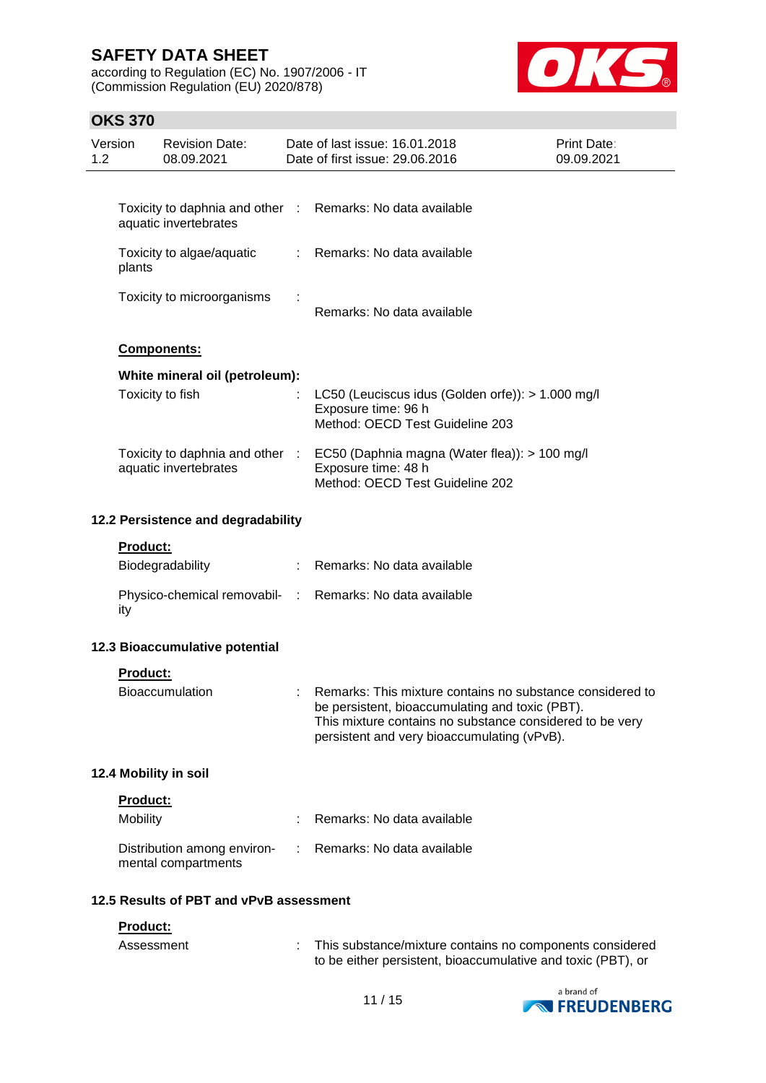according to Regulation (EC) No. 1907/2006 - IT (Commission Regulation (EU) 2020/878)



## **OKS 370**

| Version<br>1.2                          |                        | <b>Revision Date:</b><br>08.09.2021                      |    | Date of last issue: 16.01.2018<br>Date of first issue: 29.06.2016                                                                                                                                                       | <b>Print Date:</b><br>09.09.2021 |
|-----------------------------------------|------------------------|----------------------------------------------------------|----|-------------------------------------------------------------------------------------------------------------------------------------------------------------------------------------------------------------------------|----------------------------------|
|                                         |                        |                                                          |    |                                                                                                                                                                                                                         |                                  |
|                                         |                        | aquatic invertebrates                                    |    | Toxicity to daphnia and other : Remarks: No data available                                                                                                                                                              |                                  |
|                                         | plants                 | Toxicity to algae/aquatic                                | ÷. | Remarks: No data available                                                                                                                                                                                              |                                  |
|                                         |                        | Toxicity to microorganisms                               |    | Remarks: No data available                                                                                                                                                                                              |                                  |
|                                         |                        | Components:                                              |    |                                                                                                                                                                                                                         |                                  |
|                                         |                        | White mineral oil (petroleum):                           |    |                                                                                                                                                                                                                         |                                  |
|                                         |                        | Toxicity to fish                                         |    | LC50 (Leuciscus idus (Golden orfe)): > 1.000 mg/l<br>Exposure time: 96 h<br>Method: OECD Test Guideline 203                                                                                                             |                                  |
|                                         |                        | Toxicity to daphnia and other :<br>aquatic invertebrates |    | EC50 (Daphnia magna (Water flea)): > 100 mg/l<br>Exposure time: 48 h<br>Method: OECD Test Guideline 202                                                                                                                 |                                  |
| 12.2 Persistence and degradability      |                        |                                                          |    |                                                                                                                                                                                                                         |                                  |
|                                         | Product:               | Biodegradability                                         |    | Remarks: No data available                                                                                                                                                                                              |                                  |
|                                         | ity                    |                                                          |    | Physico-chemical removabil- : Remarks: No data available                                                                                                                                                                |                                  |
|                                         |                        | 12.3 Bioaccumulative potential                           |    |                                                                                                                                                                                                                         |                                  |
|                                         | Product:               |                                                          |    |                                                                                                                                                                                                                         |                                  |
|                                         |                        | Bioaccumulation                                          |    | Remarks: This mixture contains no substance considered to<br>be persistent, bioaccumulating and toxic (PBT).<br>This mixture contains no substance considered to be very<br>persistent and very bioaccumulating (vPvB). |                                  |
|                                         |                        | 12.4 Mobility in soil                                    |    |                                                                                                                                                                                                                         |                                  |
|                                         | Product:               |                                                          |    |                                                                                                                                                                                                                         |                                  |
|                                         | Mobility               |                                                          |    | Remarks: No data available                                                                                                                                                                                              |                                  |
|                                         |                        | Distribution among environ-<br>mental compartments       |    | Remarks: No data available                                                                                                                                                                                              |                                  |
| 12.5 Results of PBT and vPvB assessment |                        |                                                          |    |                                                                                                                                                                                                                         |                                  |
|                                         | Product:<br>Assessment |                                                          |    | This substance/mixture contains no components considered<br>to be either persistent, bioaccumulative and toxic (PBT), or                                                                                                |                                  |

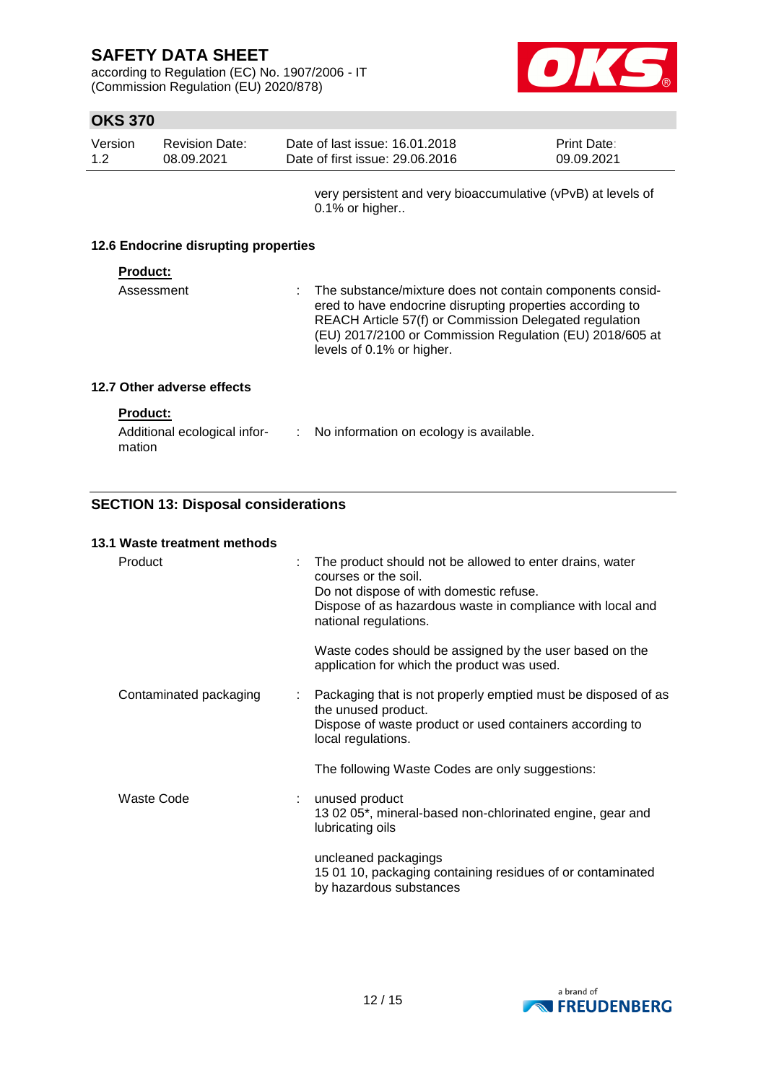according to Regulation (EC) No. 1907/2006 - IT (Commission Regulation (EU) 2020/878)



## **OKS 370**

| Version<br>1.2                       | <b>Revision Date:</b><br>08.09.2021 | Date of last issue: 16.01.2018<br>Date of first issue: 29.06.2016                 | Print Date:<br>09.09.2021 |  |
|--------------------------------------|-------------------------------------|-----------------------------------------------------------------------------------|---------------------------|--|
|                                      |                                     | very persistent and very bioaccumulative (vPvB) at levels of<br>$0.1\%$ or higher |                           |  |
| 12.6 Endocrine disrupting properties |                                     |                                                                                   |                           |  |

### **Product:**

| ered to have endocrine disrupting properties according to<br>REACH Article 57(f) or Commission Delegated regulation<br>levels of 0.1% or higher. | Assessment | : The substance/mixture does not contain components consid-<br>(EU) 2017/2100 or Commission Regulation (EU) 2018/605 at |
|--------------------------------------------------------------------------------------------------------------------------------------------------|------------|-------------------------------------------------------------------------------------------------------------------------|
|--------------------------------------------------------------------------------------------------------------------------------------------------|------------|-------------------------------------------------------------------------------------------------------------------------|

## **12.7 Other adverse effects**

| Additional ecological infor- | No information on ecology is available. |
|------------------------------|-----------------------------------------|
| mation                       |                                         |

## **SECTION 13: Disposal considerations**

| 13.1 Waste treatment methods |   |                                                                                                                                                                                                                    |
|------------------------------|---|--------------------------------------------------------------------------------------------------------------------------------------------------------------------------------------------------------------------|
| Product                      |   | The product should not be allowed to enter drains, water<br>courses or the soil.<br>Do not dispose of with domestic refuse.<br>Dispose of as hazardous waste in compliance with local and<br>national regulations. |
|                              |   | Waste codes should be assigned by the user based on the<br>application for which the product was used.                                                                                                             |
| Contaminated packaging       | ÷ | Packaging that is not properly emptied must be disposed of as<br>the unused product.<br>Dispose of waste product or used containers according to<br>local regulations.                                             |
|                              |   | The following Waste Codes are only suggestions:                                                                                                                                                                    |
| Waste Code                   |   | unused product<br>13 02 05*, mineral-based non-chlorinated engine, gear and<br>lubricating oils                                                                                                                    |
|                              |   | uncleaned packagings<br>15 01 10, packaging containing residues of or contaminated<br>by hazardous substances                                                                                                      |

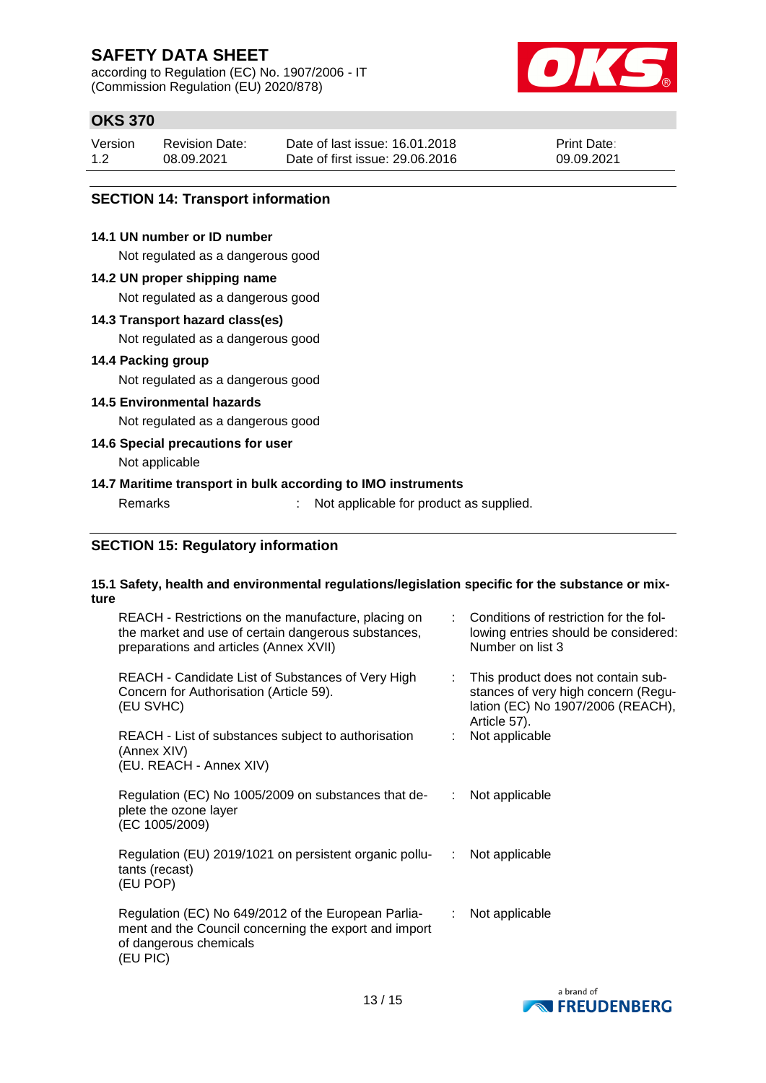according to Regulation (EC) No. 1907/2006 - IT (Commission Regulation (EU) 2020/878)



## **OKS 370**

| Version | <b>Revision Date:</b> | Date of last issue: 16.01.2018  | <b>Print Date:</b> |
|---------|-----------------------|---------------------------------|--------------------|
| 1.2     | 08.09.2021            | Date of first issue: 29,06,2016 | 09.09.2021         |

### **SECTION 14: Transport information**

### **14.1 UN number or ID number**

Not regulated as a dangerous good

### **14.2 UN proper shipping name**

Not regulated as a dangerous good

### **14.3 Transport hazard class(es)**

Not regulated as a dangerous good

### **14.4 Packing group**

Not regulated as a dangerous good

### **14.5 Environmental hazards**

Not regulated as a dangerous good

## **14.6 Special precautions for user**

Not applicable

### **14.7 Maritime transport in bulk according to IMO instruments**

Remarks : Not applicable for product as supplied.

### **SECTION 15: Regulatory information**

### **15.1 Safety, health and environmental regulations/legislation specific for the substance or mixture**

| REACH - Restrictions on the manufacture, placing on<br>the market and use of certain dangerous substances,<br>preparations and articles (Annex XVII) |    | Conditions of restriction for the fol-<br>lowing entries should be considered:<br>Number on list 3                             |
|------------------------------------------------------------------------------------------------------------------------------------------------------|----|--------------------------------------------------------------------------------------------------------------------------------|
| REACH - Candidate List of Substances of Very High<br>Concern for Authorisation (Article 59).<br>(EU SVHC)                                            | ÷. | This product does not contain sub-<br>stances of very high concern (Regu-<br>lation (EC) No 1907/2006 (REACH),<br>Article 57). |
| REACH - List of substances subject to authorisation<br>(Annex XIV)<br>(EU. REACH - Annex XIV)                                                        |    | Not applicable                                                                                                                 |
| Regulation (EC) No 1005/2009 on substances that de-<br>plete the ozone layer<br>(EC 1005/2009)                                                       |    | Not applicable                                                                                                                 |
| Regulation (EU) 2019/1021 on persistent organic pollu-<br><br>tants (recast)<br>(EU POP)                                                             |    | Not applicable                                                                                                                 |
| Regulation (EC) No 649/2012 of the European Parlia-<br>ment and the Council concerning the export and import<br>of dangerous chemicals<br>(EU PIC)   | ÷  | Not applicable                                                                                                                 |

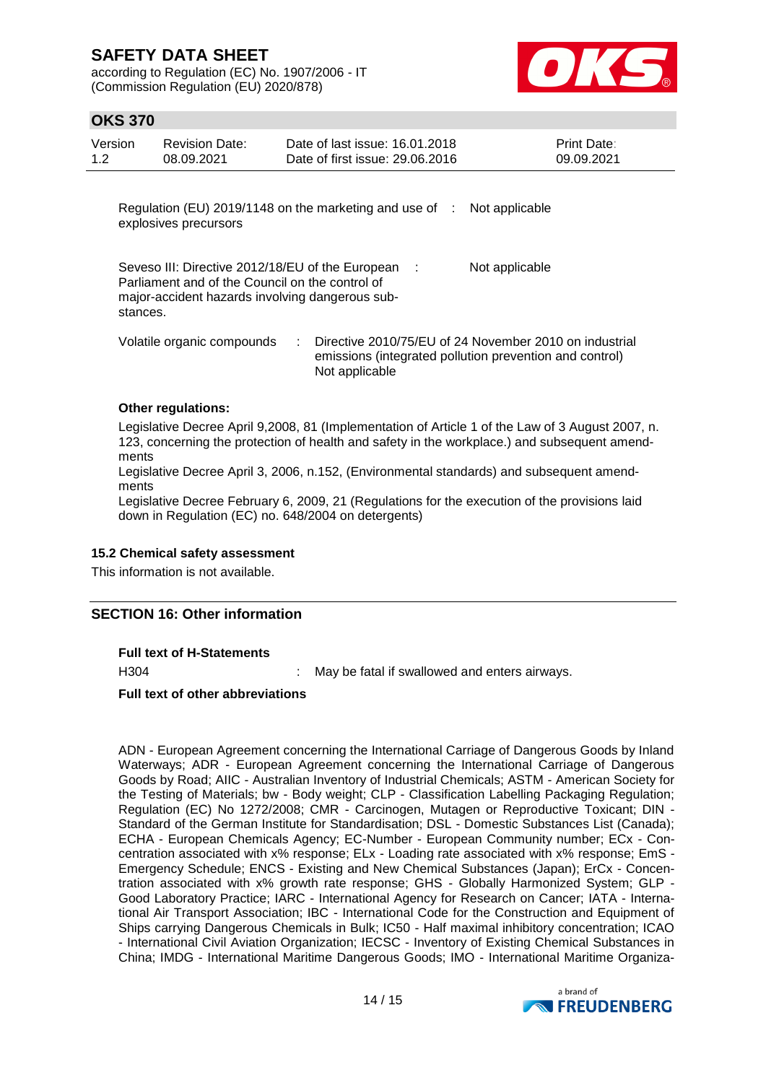according to Regulation (EC) No. 1907/2006 - IT (Commission Regulation (EU) 2020/878)



## **OKS 370**

| Version<br>1.2 | <b>Revision Date:</b><br>08.09.2021             | Date of last issue: 16.01.2018<br>Date of first issue: 29,06,2016                                     | Print Date:<br>09.09.2021 |
|----------------|-------------------------------------------------|-------------------------------------------------------------------------------------------------------|---------------------------|
|                | explosives precursors                           | Regulation (EU) 2019/1148 on the marketing and use of :                                               | Not applicable            |
| stances.       | Parliament and of the Council on the control of | Seveso III: Directive 2012/18/EU of the European :<br>major-accident hazards involving dangerous sub- | Not applicable            |

Volatile organic compounds : Directive 2010/75/EU of 24 November 2010 on industrial emissions (integrated pollution prevention and control) Not applicable

### **Other regulations:**

Legislative Decree April 9,2008, 81 (Implementation of Article 1 of the Law of 3 August 2007, n. 123, concerning the protection of health and safety in the workplace.) and subsequent amendments

Legislative Decree April 3, 2006, n.152, (Environmental standards) and subsequent amendments

Legislative Decree February 6, 2009, 21 (Regulations for the execution of the provisions laid down in Regulation (EC) no. 648/2004 on detergents)

### **15.2 Chemical safety assessment**

This information is not available.

### **SECTION 16: Other information**

**Full text of H-Statements**

H304 : May be fatal if swallowed and enters airways.

### **Full text of other abbreviations**

ADN - European Agreement concerning the International Carriage of Dangerous Goods by Inland Waterways; ADR - European Agreement concerning the International Carriage of Dangerous Goods by Road; AIIC - Australian Inventory of Industrial Chemicals; ASTM - American Society for the Testing of Materials; bw - Body weight; CLP - Classification Labelling Packaging Regulation; Regulation (EC) No 1272/2008; CMR - Carcinogen, Mutagen or Reproductive Toxicant; DIN - Standard of the German Institute for Standardisation; DSL - Domestic Substances List (Canada); ECHA - European Chemicals Agency; EC-Number - European Community number; ECx - Concentration associated with x% response; ELx - Loading rate associated with x% response; EmS - Emergency Schedule; ENCS - Existing and New Chemical Substances (Japan); ErCx - Concentration associated with x% growth rate response; GHS - Globally Harmonized System; GLP - Good Laboratory Practice; IARC - International Agency for Research on Cancer; IATA - International Air Transport Association; IBC - International Code for the Construction and Equipment of Ships carrying Dangerous Chemicals in Bulk; IC50 - Half maximal inhibitory concentration; ICAO - International Civil Aviation Organization; IECSC - Inventory of Existing Chemical Substances in China; IMDG - International Maritime Dangerous Goods; IMO - International Maritime Organiza-